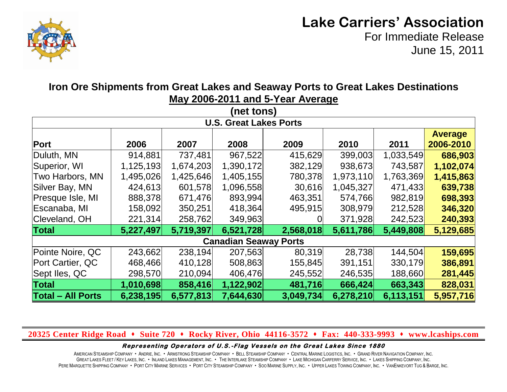

## **Lake Carriers' Association**

For Immediate Release June 15, 2011

| (net tons)<br><b>U.S. Great Lakes Ports</b> |           |           |           |           |           |           |           |  |  |  |  |
|---------------------------------------------|-----------|-----------|-----------|-----------|-----------|-----------|-----------|--|--|--|--|
|                                             |           |           |           |           |           |           |           |  |  |  |  |
| Duluth, MN                                  | 914,881   | 737,481   | 967,522   | 415,629   | 399,003   | 1,033,549 | 686,903   |  |  |  |  |
| Superior, WI                                | 1,125,193 | 1,674,203 | 1,390,172 | 382,129   | 938,673   | 743,587   | 1,102,074 |  |  |  |  |
| Two Harbors, MN                             | 1,495,026 | 1,425,646 | 1,405,155 | 780,378   | 1,973,110 | 1,763,369 | 1,415,863 |  |  |  |  |
| Silver Bay, MN                              | 424,613   | 601,578   | 1,096,558 | 30,616    | 1,045,327 | 471,433   | 639,738   |  |  |  |  |
| Presque Isle, MI                            | 888,378   | 671,476   | 893,994   | 463,351   | 574,766   | 982,819   | 698,393   |  |  |  |  |
| Escanaba, MI                                | 158,092   | 350,251   | 418,364   | 495,915   | 308,979   | 212,528   | 346,320   |  |  |  |  |
| Cleveland, OH                               | 221,314   | 258,762   | 349,963   |           | 371,928   | 242,523   | 240,393   |  |  |  |  |
| <b>Total</b>                                | 5,227,497 | 5,719,397 | 6,521,728 | 2,568,018 | 5,611,786 | 5,449,808 | 5,129,685 |  |  |  |  |
| <b>Canadian Seaway Ports</b>                |           |           |           |           |           |           |           |  |  |  |  |
| Pointe Noire, QC                            | 243,662   | 238,194   | 207,563   | 80,319    | 28,738    | 144,504   | 159,695   |  |  |  |  |
| Port Cartier, QC                            | 468,466   | 410,128   | 508,863   | 155,845   | 391,151   | 330,179   | 386,891   |  |  |  |  |
| Sept Iles, QC                               | 298,570   | 210,094   | 406,476   | 245,552   | 246,535   | 188,660   | 281,445   |  |  |  |  |
| <b>Total</b>                                | 1,010,698 | 858,416   | 1,122,902 | 481,716   | 666,424   | 663,343   | 828,031   |  |  |  |  |
| <b>Total - All Ports</b>                    | 6,238,195 | 6,577,813 | 7,644,630 | 3,049,734 | 6,278,210 | 6,113,151 | 5,957,716 |  |  |  |  |

### **Iron Ore Shipments from Great Lakes and Seaway Ports to Great Lakes Destinations May 2006-2011 and 5-Year Average**

#### **20325 Center Ridge Road Suite 720 Rocky River, Ohio 44116-3572 Fax: 440-333-9993 www.lcaships.com**

#### Representing Operators of U.S.-Flag Vessels on the Great Lakes Since 1880

AMERICAN STEAMSHIP COMPANY · ANDRIE, INC. · ARMSTRONG STEAMSHIP COMPANY · BELL STEAMSHIP COMPANY · CENTRAL MARINE LOGISTICS, INC. · GRAND RIVER NAVIGATION COMPANY, INC. GREAT LAKES FLEET / KEY LAKES, INC. . INLAND LAKES MANAGEMENT, INC. . THE INTERLAKE STEAMSHIP COMPANY . LAKE MICHIGAN CARFERRY SERVICE, INC. . LAKES SHIPPING COMPANY, INC. PERE MARQUETTE SHIPPING COMPANY · PORT CITY MARINE SERVICES · PORT CITY STEAMSHIP COMPANY · SOO MARINE SUPPLY, INC. · UPPER LAKES TOWING COMPANY, INC. · VANENKEVORT TUG & BARGE, INC.